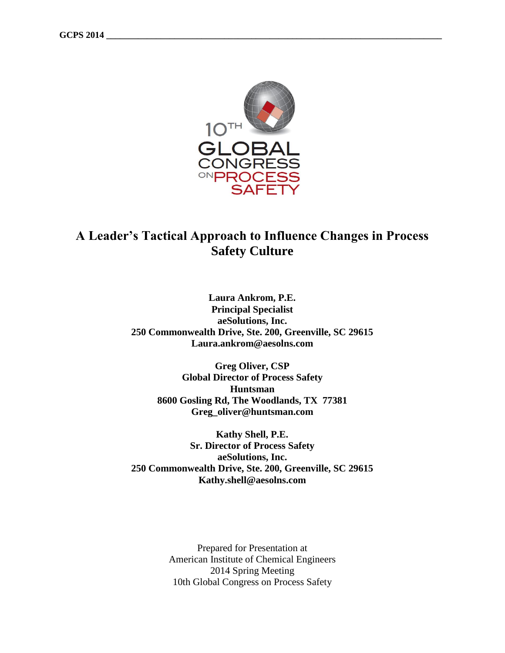

# **A Leader's Tactical Approach to Influence Changes in Process Safety Culture**

**Laura Ankrom, P.E. Principal Specialist aeSolutions, Inc. 250 Commonwealth Drive, Ste. 200, Greenville, SC 29615 Laura.ankrom@aesolns.com**

> **Greg Oliver, CSP Global Director of Process Safety Huntsman 8600 Gosling Rd, The Woodlands, TX 77381 Greg\_oliver@huntsman.com**

**Kathy Shell, P.E. Sr. Director of Process Safety aeSolutions, Inc. 250 Commonwealth Drive, Ste. 200, Greenville, SC 29615 Kathy.shell@aesolns.com**

> Prepared for Presentation at American Institute of Chemical Engineers 2014 Spring Meeting 10th Global Congress on Process Safety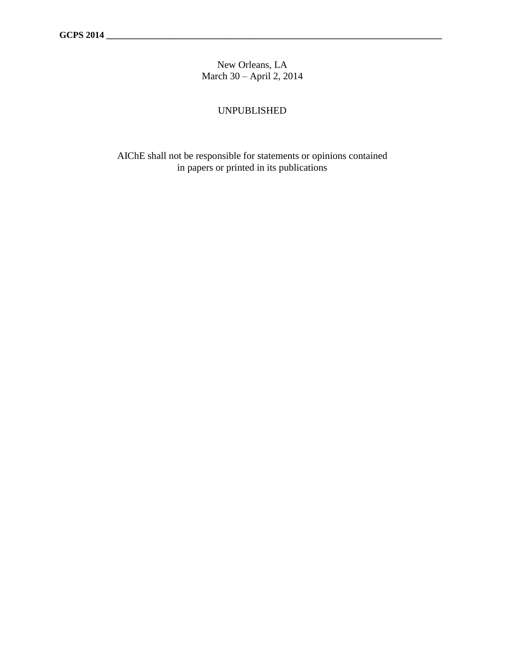New Orleans, LA March 30 – April 2, 2014

### UNPUBLISHED

AIChE shall not be responsible for statements or opinions contained in papers or printed in its publications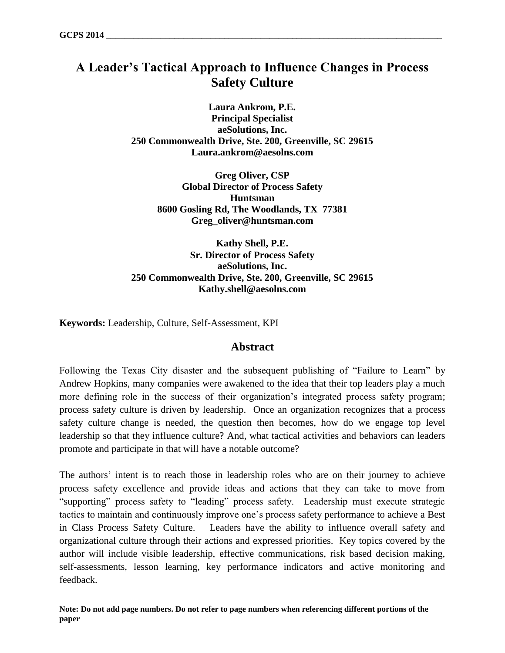# **A Leader's Tactical Approach to Influence Changes in Process Safety Culture**

**Laura Ankrom, P.E. Principal Specialist aeSolutions, Inc. 250 Commonwealth Drive, Ste. 200, Greenville, SC 29615 Laura.ankrom@aesolns.com**

> **Greg Oliver, CSP Global Director of Process Safety Huntsman 8600 Gosling Rd, The Woodlands, TX 77381 Greg\_oliver@huntsman.com**

**Kathy Shell, P.E. Sr. Director of Process Safety aeSolutions, Inc. 250 Commonwealth Drive, Ste. 200, Greenville, SC 29615 Kathy.shell@aesolns.com**

**Keywords:** Leadership, Culture, Self-Assessment, KPI

#### **Abstract**

Following the Texas City disaster and the subsequent publishing of "Failure to Learn" by Andrew Hopkins, many companies were awakened to the idea that their top leaders play a much more defining role in the success of their organization's integrated process safety program; process safety culture is driven by leadership. Once an organization recognizes that a process safety culture change is needed, the question then becomes, how do we engage top level leadership so that they influence culture? And, what tactical activities and behaviors can leaders promote and participate in that will have a notable outcome?

The authors' intent is to reach those in leadership roles who are on their journey to achieve process safety excellence and provide ideas and actions that they can take to move from "supporting" process safety to "leading" process safety. Leadership must execute strategic tactics to maintain and continuously improve one's process safety performance to achieve a Best in Class Process Safety Culture. Leaders have the ability to influence overall safety and organizational culture through their actions and expressed priorities. Key topics covered by the author will include visible leadership, effective communications, risk based decision making, self-assessments, lesson learning, key performance indicators and active monitoring and feedback.

**Note: Do not add page numbers. Do not refer to page numbers when referencing different portions of the paper**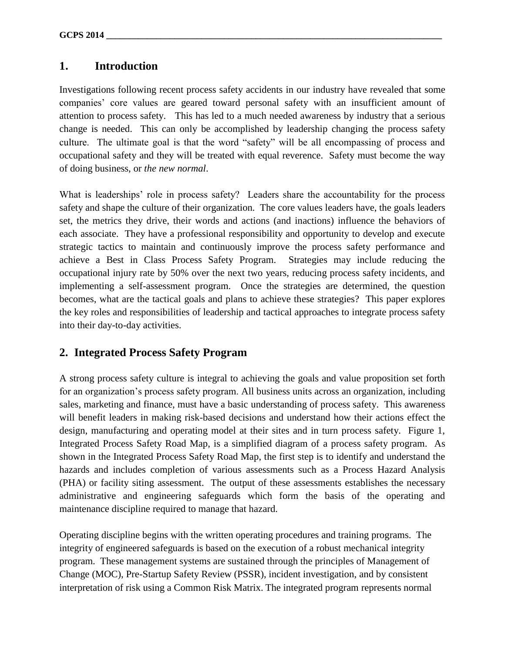## **1. Introduction**

Investigations following recent process safety accidents in our industry have revealed that some companies' core values are geared toward personal safety with an insufficient amount of attention to process safety. This has led to a much needed awareness by industry that a serious change is needed. This can only be accomplished by leadership changing the process safety culture. The ultimate goal is that the word "safety" will be all encompassing of process and occupational safety and they will be treated with equal reverence. Safety must become the way of doing business, or *the new normal*.

What is leaderships' role in process safety? Leaders share the accountability for the process safety and shape the culture of their organization. The core values leaders have, the goals leaders set, the metrics they drive, their words and actions (and inactions) influence the behaviors of each associate. They have a professional responsibility and opportunity to develop and execute strategic tactics to maintain and continuously improve the process safety performance and achieve a Best in Class Process Safety Program. Strategies may include reducing the occupational injury rate by 50% over the next two years, reducing process safety incidents, and implementing a self-assessment program. Once the strategies are determined, the question becomes, what are the tactical goals and plans to achieve these strategies? This paper explores the key roles and responsibilities of leadership and tactical approaches to integrate process safety into their day-to-day activities.

### **2. Integrated Process Safety Program**

A strong process safety culture is integral to achieving the goals and value proposition set forth for an organization's process safety program. All business units across an organization, including sales, marketing and finance, must have a basic understanding of process safety. This awareness will benefit leaders in making risk-based decisions and understand how their actions effect the design, manufacturing and operating model at their sites and in turn process safety. Figure 1, Integrated Process Safety Road Map, is a simplified diagram of a process safety program. As shown in the Integrated Process Safety Road Map, the first step is to identify and understand the hazards and includes completion of various assessments such as a Process Hazard Analysis (PHA) or facility siting assessment. The output of these assessments establishes the necessary administrative and engineering safeguards which form the basis of the operating and maintenance discipline required to manage that hazard.

Operating discipline begins with the written operating procedures and training programs. The integrity of engineered safeguards is based on the execution of a robust mechanical integrity program. These management systems are sustained through the principles of Management of Change (MOC), Pre-Startup Safety Review (PSSR), incident investigation, and by consistent interpretation of risk using a Common Risk Matrix. The integrated program represents normal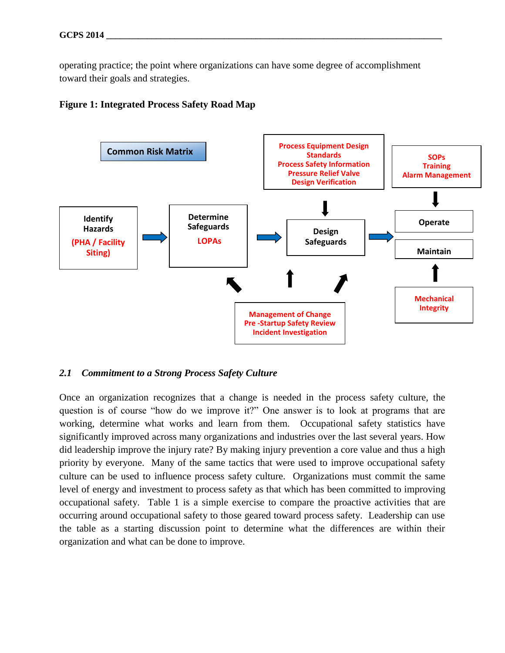operating practice; the point where organizations can have some degree of accomplishment toward their goals and strategies.





#### *2.1 Commitment to a Strong Process Safety Culture*

Once an organization recognizes that a change is needed in the process safety culture, the question is of course "how do we improve it?" One answer is to look at programs that are working, determine what works and learn from them. Occupational safety statistics have significantly improved across many organizations and industries over the last several years. How did leadership improve the injury rate? By making injury prevention a core value and thus a high priority by everyone. Many of the same tactics that were used to improve occupational safety culture can be used to influence process safety culture. Organizations must commit the same level of energy and investment to process safety as that which has been committed to improving occupational safety. Table 1 is a simple exercise to compare the proactive activities that are occurring around occupational safety to those geared toward process safety. Leadership can use the table as a starting discussion point to determine what the differences are within their organization and what can be done to improve.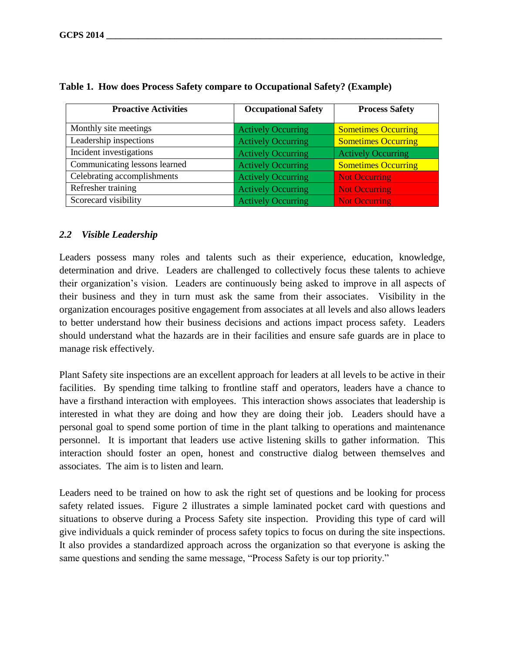| <b>Proactive Activities</b>   | <b>Occupational Safety</b> | <b>Process Safety</b>      |
|-------------------------------|----------------------------|----------------------------|
| Monthly site meetings         | <b>Actively Occurring</b>  | <b>Sometimes Occurring</b> |
| Leadership inspections        | <b>Actively Occurring</b>  | <b>Sometimes Occurring</b> |
| Incident investigations       | <b>Actively Occurring</b>  | <b>Actively Occurring</b>  |
| Communicating lessons learned | <b>Actively Occurring</b>  | <b>Sometimes Occurring</b> |
| Celebrating accomplishments   | <b>Actively Occurring</b>  | <b>Not Occurring</b>       |
| Refresher training            | <b>Actively Occurring</b>  | <b>Not Occurring</b>       |
| Scorecard visibility          | <b>Actively Occurring</b>  | <b>Not Occurring</b>       |

#### **Table 1. How does Process Safety compare to Occupational Safety? (Example)**

#### *2.2 Visible Leadership*

Leaders possess many roles and talents such as their experience, education, knowledge, determination and drive. Leaders are challenged to collectively focus these talents to achieve their organization's vision. Leaders are continuously being asked to improve in all aspects of their business and they in turn must ask the same from their associates. Visibility in the organization encourages positive engagement from associates at all levels and also allows leaders to better understand how their business decisions and actions impact process safety. Leaders should understand what the hazards are in their facilities and ensure safe guards are in place to manage risk effectively.

Plant Safety site inspections are an excellent approach for leaders at all levels to be active in their facilities. By spending time talking to frontline staff and operators, leaders have a chance to have a firsthand interaction with employees. This interaction shows associates that leadership is interested in what they are doing and how they are doing their job. Leaders should have a personal goal to spend some portion of time in the plant talking to operations and maintenance personnel. It is important that leaders use active listening skills to gather information. This interaction should foster an open, honest and constructive dialog between themselves and associates. The aim is to listen and learn.

Leaders need to be trained on how to ask the right set of questions and be looking for process safety related issues. Figure 2 illustrates a simple laminated pocket card with questions and situations to observe during a Process Safety site inspection. Providing this type of card will give individuals a quick reminder of process safety topics to focus on during the site inspections. It also provides a standardized approach across the organization so that everyone is asking the same questions and sending the same message, "Process Safety is our top priority."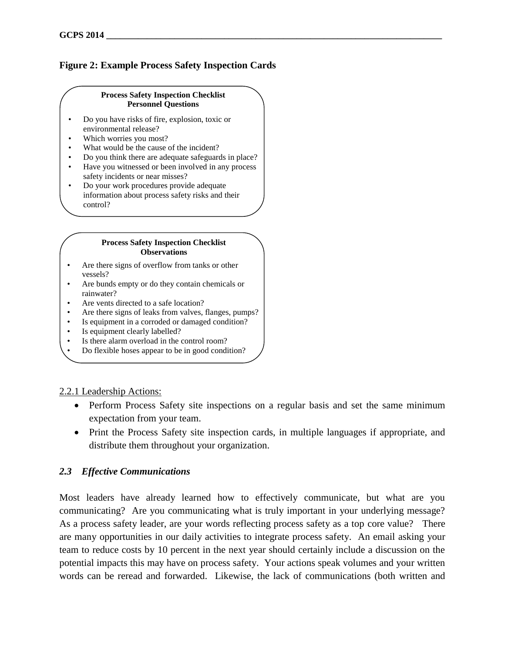### **Figure 2: Example Process Safety Inspection Cards**

#### **Process Safety Inspection Checklist Personnel Questions**

- Do you have risks of fire, explosion, toxic or environmental release?
- Which worries you most?
- What would be the cause of the incident?
- Do you think there are adequate safeguards in place?
- Have you witnessed or been involved in any process safety incidents or near misses?
- Do your work procedures provide adequate information about process safety risks and their control?

#### **Process Safety Inspection Checklist Observations**

- Are there signs of overflow from tanks or other vessels?
- Are bunds empty or do they contain chemicals or rainwater?
- Are vents directed to a safe location?
- Are there signs of leaks from valves, flanges, pumps?
- Is equipment in a corroded or damaged condition?
- Is equipment clearly labelled?
- Is there alarm overload in the control room?
- Do flexible hoses appear to be in good condition?

#### 2.2.1 Leadership Actions:

- Perform Process Safety site inspections on a regular basis and set the same minimum expectation from your team.
- Print the Process Safety site inspection cards, in multiple languages if appropriate, and distribute them throughout your organization.

### *2.3 Effective Communications*

Most leaders have already learned how to effectively communicate, but what are you communicating? Are you communicating what is truly important in your underlying message? As a process safety leader, are your words reflecting process safety as a top core value? There are many opportunities in our daily activities to integrate process safety. An email asking your team to reduce costs by 10 percent in the next year should certainly include a discussion on the potential impacts this may have on process safety. Your actions speak volumes and your written words can be reread and forwarded. Likewise, the lack of communications (both written and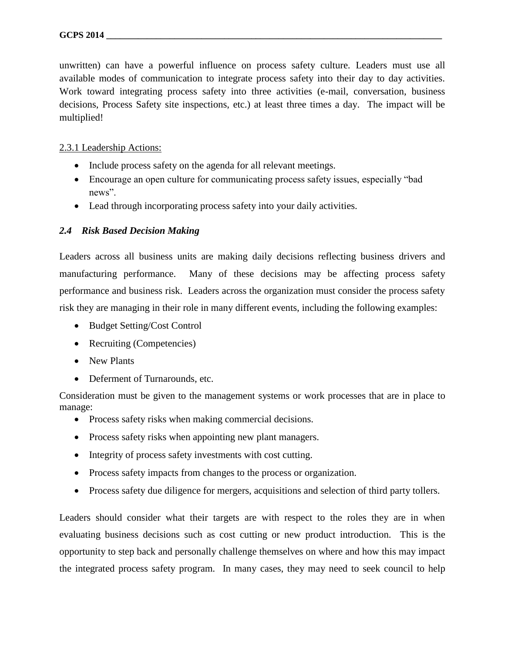unwritten) can have a powerful influence on process safety culture. Leaders must use all available modes of communication to integrate process safety into their day to day activities. Work toward integrating process safety into three activities (e-mail, conversation, business decisions, Process Safety site inspections, etc.) at least three times a day. The impact will be multiplied!

#### 2.3.1 Leadership Actions:

- Include process safety on the agenda for all relevant meetings.
- Encourage an open culture for communicating process safety issues, especially "bad news".
- Lead through incorporating process safety into your daily activities.

### *2.4 Risk Based Decision Making*

Leaders across all business units are making daily decisions reflecting business drivers and manufacturing performance. Many of these decisions may be affecting process safety performance and business risk. Leaders across the organization must consider the process safety risk they are managing in their role in many different events, including the following examples:

- Budget Setting/Cost Control
- Recruiting (Competencies)
- New Plants
- Deferment of Turnarounds, etc.

Consideration must be given to the management systems or work processes that are in place to manage:

- Process safety risks when making commercial decisions.
- Process safety risks when appointing new plant managers.
- Integrity of process safety investments with cost cutting.
- Process safety impacts from changes to the process or organization.
- Process safety due diligence for mergers, acquisitions and selection of third party tollers.

Leaders should consider what their targets are with respect to the roles they are in when evaluating business decisions such as cost cutting or new product introduction. This is the opportunity to step back and personally challenge themselves on where and how this may impact the integrated process safety program. In many cases, they may need to seek council to help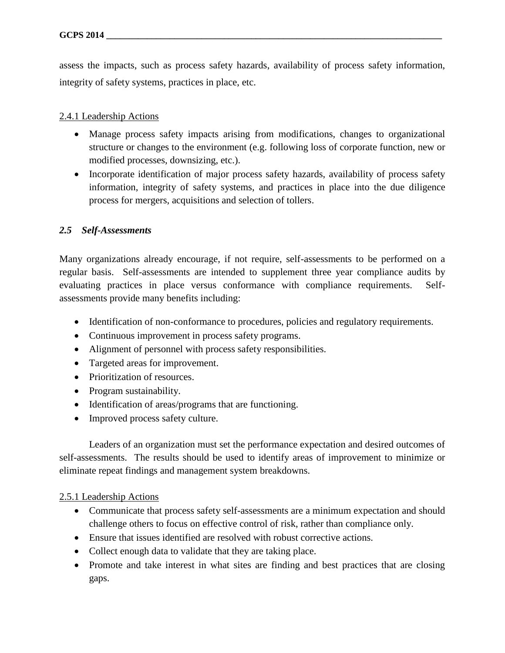assess the impacts, such as process safety hazards, availability of process safety information, integrity of safety systems, practices in place, etc.

#### 2.4.1 Leadership Actions

- Manage process safety impacts arising from modifications, changes to organizational structure or changes to the environment (e.g. following loss of corporate function, new or modified processes, downsizing, etc.).
- Incorporate identification of major process safety hazards, availability of process safety information, integrity of safety systems, and practices in place into the due diligence process for mergers, acquisitions and selection of tollers.

#### *2.5 Self-Assessments*

Many organizations already encourage, if not require, self-assessments to be performed on a regular basis. Self-assessments are intended to supplement three year compliance audits by evaluating practices in place versus conformance with compliance requirements. Selfassessments provide many benefits including:

- Identification of non-conformance to procedures, policies and regulatory requirements.
- Continuous improvement in process safety programs.
- Alignment of personnel with process safety responsibilities.
- Targeted areas for improvement.
- Prioritization of resources.
- Program sustainability.
- Identification of areas/programs that are functioning.
- Improved process safety culture.

Leaders of an organization must set the performance expectation and desired outcomes of self-assessments. The results should be used to identify areas of improvement to minimize or eliminate repeat findings and management system breakdowns.

#### 2.5.1 Leadership Actions

- Communicate that process safety self-assessments are a minimum expectation and should challenge others to focus on effective control of risk, rather than compliance only.
- Ensure that issues identified are resolved with robust corrective actions.
- Collect enough data to validate that they are taking place.
- Promote and take interest in what sites are finding and best practices that are closing gaps.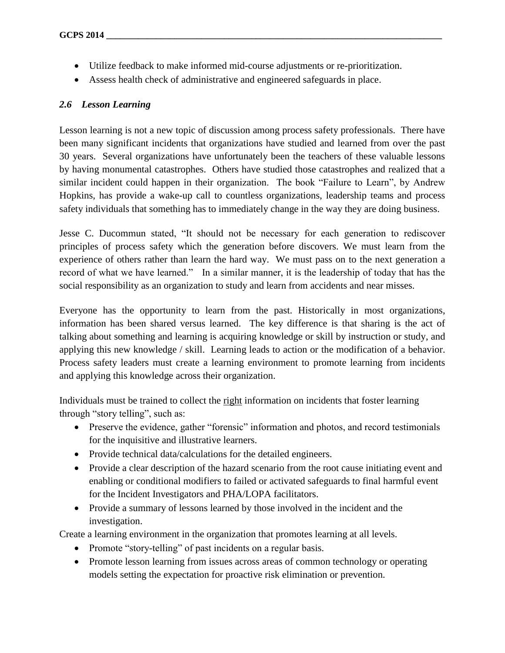- Utilize feedback to make informed mid-course adjustments or re-prioritization.
- Assess health check of administrative and engineered safeguards in place.

### *2.6 Lesson Learning*

Lesson learning is not a new topic of discussion among process safety professionals. There have been many significant incidents that organizations have studied and learned from over the past 30 years. Several organizations have unfortunately been the teachers of these valuable lessons by having monumental catastrophes. Others have studied those catastrophes and realized that a similar incident could happen in their organization. The book "Failure to Learn", by Andrew Hopkins, has provide a wake-up call to countless organizations, leadership teams and process safety individuals that something has to immediately change in the way they are doing business.

Jesse C. Ducommun stated, "It should not be necessary for each generation to rediscover principles of process safety which the generation before discovers. We must learn from the experience of others rather than learn the hard way. We must pass on to the next generation a record of what we have learned." In a similar manner, it is the leadership of today that has the social responsibility as an organization to study and learn from accidents and near misses.

Everyone has the opportunity to learn from the past. Historically in most organizations, information has been shared versus learned. The key difference is that sharing is the act of talking about something and learning is acquiring knowledge or skill by instruction or study, and applying this new knowledge / skill. Learning leads to action or the modification of a behavior. Process safety leaders must create a learning environment to promote learning from incidents and applying this knowledge across their organization.

Individuals must be trained to collect the right information on incidents that foster learning through "story telling", such as:

- Preserve the evidence, gather "forensic" information and photos, and record testimonials for the inquisitive and illustrative learners.
- Provide technical data/calculations for the detailed engineers.
- Provide a clear description of the hazard scenario from the root cause initiating event and enabling or conditional modifiers to failed or activated safeguards to final harmful event for the Incident Investigators and PHA/LOPA facilitators.
- Provide a summary of lessons learned by those involved in the incident and the investigation.

Create a learning environment in the organization that promotes learning at all levels.

- Promote "story-telling" of past incidents on a regular basis.
- Promote lesson learning from issues across areas of common technology or operating models setting the expectation for proactive risk elimination or prevention.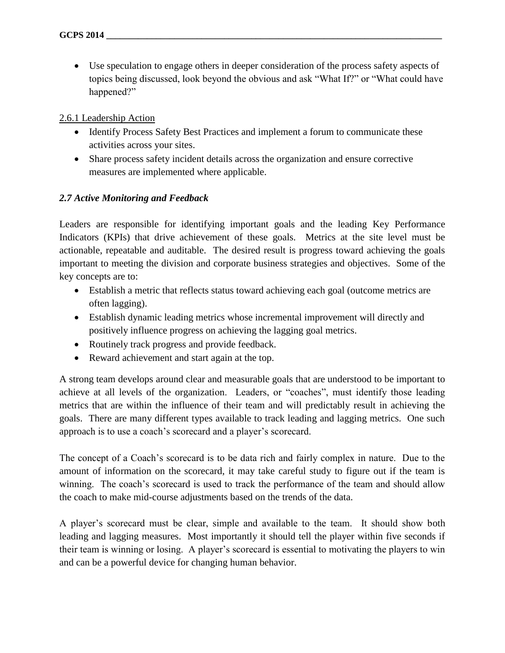Use speculation to engage others in deeper consideration of the process safety aspects of topics being discussed, look beyond the obvious and ask "What If?" or "What could have happened?"

#### 2.6.1 Leadership Action

- Identify Process Safety Best Practices and implement a forum to communicate these activities across your sites.
- Share process safety incident details across the organization and ensure corrective measures are implemented where applicable.

### *2.7 Active Monitoring and Feedback*

Leaders are responsible for identifying important goals and the leading Key Performance Indicators (KPIs) that drive achievement of these goals. Metrics at the site level must be actionable, repeatable and auditable. The desired result is progress toward achieving the goals important to meeting the division and corporate business strategies and objectives. Some of the key concepts are to:

- Establish a metric that reflects status toward achieving each goal (outcome metrics are often lagging).
- Establish dynamic leading metrics whose incremental improvement will directly and positively influence progress on achieving the lagging goal metrics.
- Routinely track progress and provide feedback.
- Reward achievement and start again at the top.

A strong team develops around clear and measurable goals that are understood to be important to achieve at all levels of the organization. Leaders, or "coaches", must identify those leading metrics that are within the influence of their team and will predictably result in achieving the goals. There are many different types available to track leading and lagging metrics. One such approach is to use a coach's scorecard and a player's scorecard.

The concept of a Coach's scorecard is to be data rich and fairly complex in nature. Due to the amount of information on the scorecard, it may take careful study to figure out if the team is winning. The coach's scorecard is used to track the performance of the team and should allow the coach to make mid-course adjustments based on the trends of the data.

A player's scorecard must be clear, simple and available to the team. It should show both leading and lagging measures. Most importantly it should tell the player within five seconds if their team is winning or losing. A player's scorecard is essential to motivating the players to win and can be a powerful device for changing human behavior.